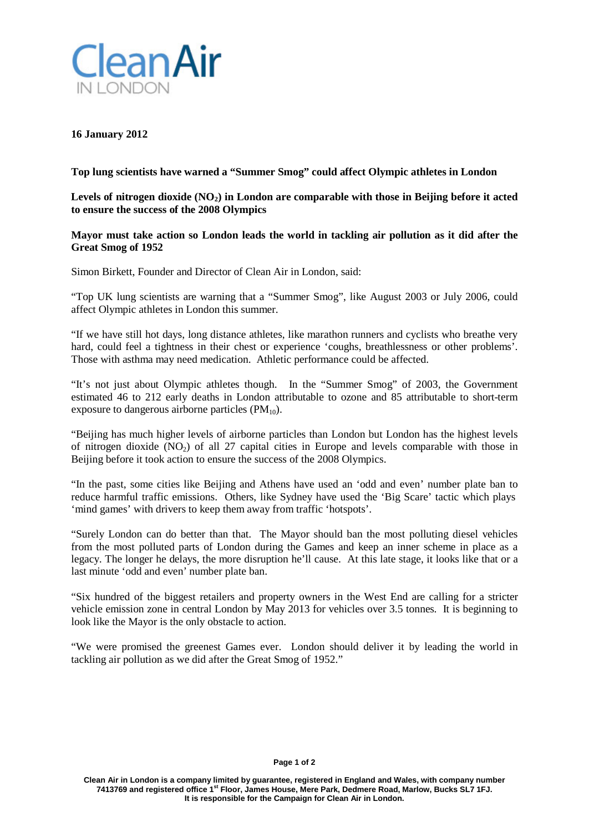

## **16 January 2012**

**Top lung scientists have warned a "Summer Smog" could affect Olympic athletes in London**

**Levels of nitrogen dioxide (NO2) in London are comparable with those in Beijing before it acted to ensure the success of the 2008 Olympics**

## **Mayor must take action so London leads the world in tackling air pollution as it did after the Great Smog of 1952**

Simon Birkett, Founder and Director of Clean Air in London, said:

"Top UK lung scientists are warning that a "Summer Smog", like August 2003 or July 2006, could affect Olympic athletes in London this summer.

"If we have still hot days, long distance athletes, like marathon runners and cyclists who breathe very hard, could feel a tightness in their chest or experience 'coughs, breathlessness or other problems'. Those with asthma may need medication. Athletic performance could be affected.

"It's not just about Olympic athletes though. In the "Summer Smog" of 2003, the Government estimated 46 to 212 early deaths in London attributable to ozone and 85 attributable to short-term exposure to dangerous airborne particles  $(PM_{10})$ .

"Beijing has much higher levels of airborne particles than London but London has the highest levels of nitrogen dioxide  $(NO<sub>2</sub>)$  of all 27 capital cities in Europe and levels comparable with those in Beijing before it took action to ensure the success of the 2008 Olympics.

"In the past, some cities like Beijing and Athens have used an 'odd and even' number plate ban to reduce harmful traffic emissions. Others, like Sydney have used the 'Big Scare' tactic which plays 'mind games' with drivers to keep them away from traffic 'hotspots'.

"Surely London can do better than that. The Mayor should ban the most polluting diesel vehicles from the most polluted parts of London during the Games and keep an inner scheme in place as a legacy. The longer he delays, the more disruption he'll cause. At this late stage, it looks like that or a last minute 'odd and even' number plate ban.

"Six hundred of the biggest retailers and property owners in the West End are calling for a stricter vehicle emission zone in central London by May 2013 for vehicles over 3.5 tonnes. It is beginning to look like the Mayor is the only obstacle to action.

"We were promised the greenest Games ever. London should deliver it by leading the world in tackling air pollution as we did after the Great Smog of 1952."

#### **Page 1 of 2**

**Clean Air in London is a company limited by guarantee, registered in England and Wales, with company number 7413769 and registered office 1st Floor, James House, Mere Park, Dedmere Road, Marlow, Bucks SL7 1FJ. It is responsible for the Campaign for Clean Air in London.**